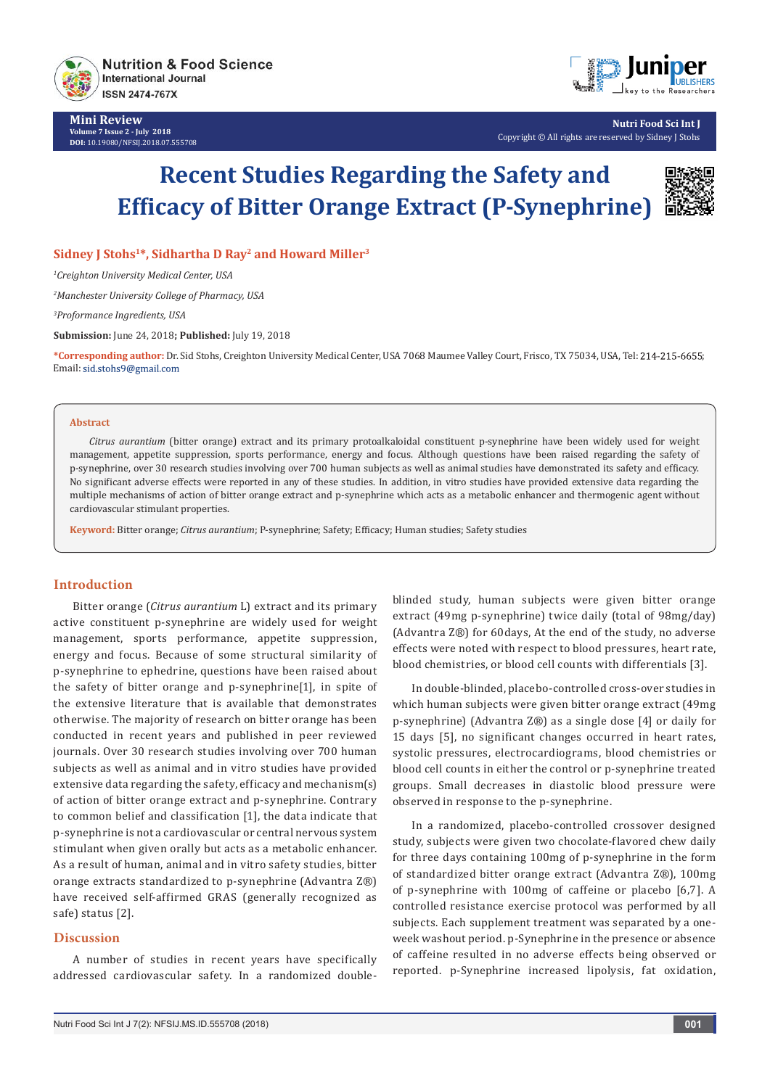

**Mini Review Volume 7 Issue 2 - July 2018 DOI:** [10.19080/NFSIJ.2018.07.555708](http://dx.doi.org/10.19080/NFSIJ.2018.07.555708)



**Nutri Food Sci Int J** Copyright © All rights are reserved by Sidney J Stohs

# **Recent Studies Regarding the Safety and Efficacy of Bitter Orange Extract (P-Synephrine)**



**Sidney J Stohs1\*, Sidhartha D Ray2 and Howard Miller3**

*1 Creighton University Medical Center, USA*

*2 Manchester University College of Pharmacy, USA*

*3 Proformance Ingredients, USA*

**Submission:** June 24, 2018**; Published:** July 19, 2018

**\*Corresponding author:** Dr. Sid Stohs, Creighton University Medical Center, USA 7068 Maumee Valley Court, Frisco, TX 75034, USA, Tel: ; Email: sid.stohs9@gmail.com

#### **Abstract**

*Citrus aurantium* (bitter orange) extract and its primary protoalkaloidal constituent p-synephrine have been widely used for weight management, appetite suppression, sports performance, energy and focus. Although questions have been raised regarding the safety of p-synephrine, over 30 research studies involving over 700 human subjects as well as animal studies have demonstrated its safety and efficacy. No significant adverse effects were reported in any of these studies. In addition, in vitro studies have provided extensive data regarding the multiple mechanisms of action of bitter orange extract and p-synephrine which acts as a metabolic enhancer and thermogenic agent without cardiovascular stimulant properties.

**Keyword:** Bitter orange; *Citrus aurantium*; P-synephrine; Safety; Efficacy; Human studies; Safety studies

## **Introduction**

Bitter orange (*Citrus aurantium* L) extract and its primary active constituent p-synephrine are widely used for weight management, sports performance, appetite suppression, energy and focus. Because of some structural similarity of p-synephrine to ephedrine, questions have been raised about the safety of bitter orange and p-synephrine[1], in spite of the extensive literature that is available that demonstrates otherwise. The majority of research on bitter orange has been conducted in recent years and published in peer reviewed journals. Over 30 research studies involving over 700 human subjects as well as animal and in vitro studies have provided extensive data regarding the safety, efficacy and mechanism(s) of action of bitter orange extract and p-synephrine. Contrary to common belief and classification [1], the data indicate that p-synephrine is not a cardiovascular or central nervous system stimulant when given orally but acts as a metabolic enhancer. As a result of human, animal and in vitro safety studies, bitter orange extracts standardized to p-synephrine (Advantra Z®) have received self-affirmed GRAS (generally recognized as safe) status [2].

# **Discussion**

A number of studies in recent years have specifically addressed cardiovascular safety. In a randomized doubleblinded study, human subjects were given bitter orange extract (49mg p-synephrine) twice daily (total of 98mg/day) (Advantra Z®) for 60days, At the end of the study, no adverse effects were noted with respect to blood pressures, heart rate, blood chemistries, or blood cell counts with differentials [3].

In double-blinded, placebo-controlled cross-over studies in which human subjects were given bitter orange extract (49mg p-synephrine) (Advantra Z®) as a single dose [4] or daily for 15 days [5], no significant changes occurred in heart rates, systolic pressures, electrocardiograms, blood chemistries or blood cell counts in either the control or p-synephrine treated groups. Small decreases in diastolic blood pressure were observed in response to the p-synephrine.

In a randomized, placebo-controlled crossover designed study, subjects were given two chocolate-flavored chew daily for three days containing 100mg of p-synephrine in the form of standardized bitter orange extract (Advantra Z®), 100mg of p-synephrine with 100mg of caffeine or placebo [6,7]. A controlled resistance exercise protocol was performed by all subjects. Each supplement treatment was separated by a oneweek washout period. p-Synephrine in the presence or absence of caffeine resulted in no adverse effects being observed or reported. p-Synephrine increased lipolysis, fat oxidation,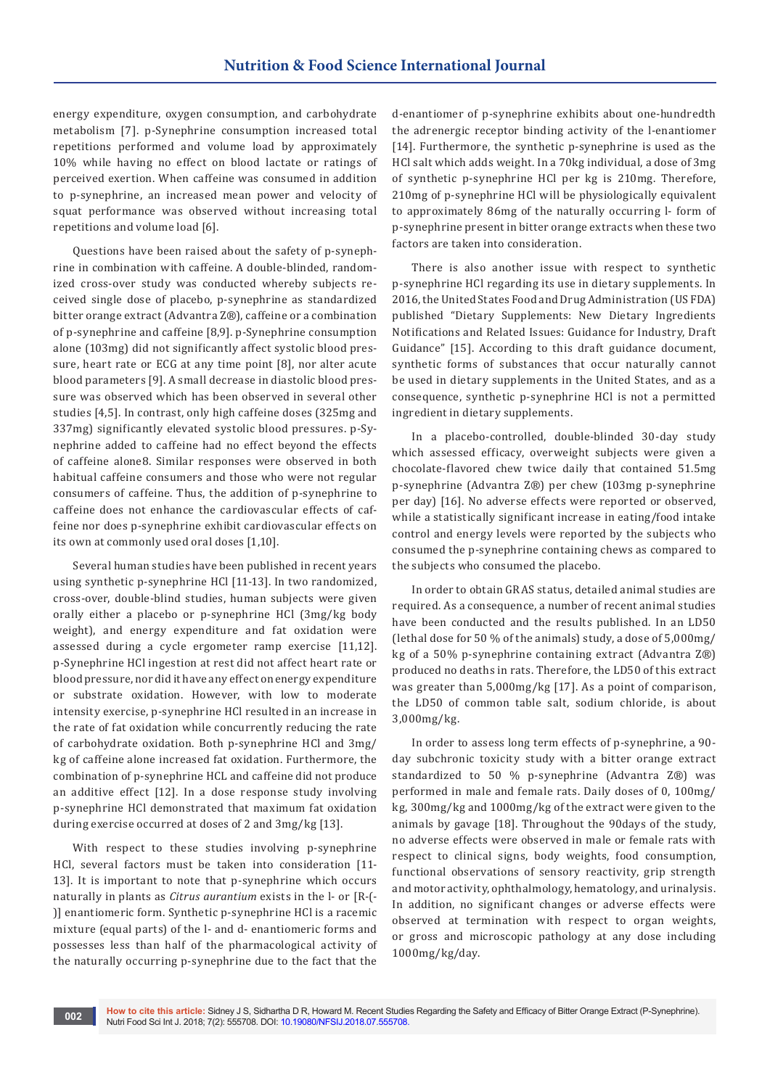energy expenditure, oxygen consumption, and carbohydrate metabolism [7]. p-Synephrine consumption increased total repetitions performed and volume load by approximately 10% while having no effect on blood lactate or ratings of perceived exertion. When caffeine was consumed in addition to p-synephrine, an increased mean power and velocity of squat performance was observed without increasing total repetitions and volume load [6].

Questions have been raised about the safety of p-synephrine in combination with caffeine. A double-blinded, randomized cross-over study was conducted whereby subjects received single dose of placebo, p-synephrine as standardized bitter orange extract (Advantra Z®), caffeine or a combination of p-synephrine and caffeine [8,9]. p-Synephrine consumption alone (103mg) did not significantly affect systolic blood pressure, heart rate or ECG at any time point [8], nor alter acute blood parameters [9]. A small decrease in diastolic blood pressure was observed which has been observed in several other studies [4,5]. In contrast, only high caffeine doses (325mg and 337mg) significantly elevated systolic blood pressures. p-Synephrine added to caffeine had no effect beyond the effects of caffeine alone8. Similar responses were observed in both habitual caffeine consumers and those who were not regular consumers of caffeine. Thus, the addition of p-synephrine to caffeine does not enhance the cardiovascular effects of caffeine nor does p-synephrine exhibit cardiovascular effects on its own at commonly used oral doses [1,10].

Several human studies have been published in recent years using synthetic p-synephrine HCl [11-13]. In two randomized, cross-over, double-blind studies, human subjects were given orally either a placebo or p-synephrine HCl (3mg/kg body weight), and energy expenditure and fat oxidation were assessed during a cycle ergometer ramp exercise [11,12]. p-Synephrine HCl ingestion at rest did not affect heart rate or blood pressure, nor did it have any effect on energy expenditure or substrate oxidation. However, with low to moderate intensity exercise, p-synephrine HCl resulted in an increase in the rate of fat oxidation while concurrently reducing the rate of carbohydrate oxidation. Both p-synephrine HCl and 3mg/ kg of caffeine alone increased fat oxidation. Furthermore, the combination of p-synephrine HCL and caffeine did not produce an additive effect [12]. In a dose response study involving p-synephrine HCl demonstrated that maximum fat oxidation during exercise occurred at doses of 2 and 3mg/kg [13].

With respect to these studies involving p-synephrine HCl, several factors must be taken into consideration [11- 13]. It is important to note that p-synephrine which occurs naturally in plants as *Citrus aurantium* exists in the l- or [R-(- )] enantiomeric form. Synthetic p-synephrine HCl is a racemic mixture (equal parts) of the l- and d- enantiomeric forms and possesses less than half of the pharmacological activity of the naturally occurring p-synephrine due to the fact that the

d-enantiomer of p-synephrine exhibits about one-hundredth the adrenergic receptor binding activity of the l-enantiomer [14]. Furthermore, the synthetic p-synephrine is used as the HCl salt which adds weight. In a 70kg individual, a dose of 3mg of synthetic p-synephrine HCl per kg is 210mg. Therefore, 210mg of p-synephrine HCl will be physiologically equivalent to approximately 86mg of the naturally occurring l- form of p-synephrine present in bitter orange extracts when these two factors are taken into consideration.

There is also another issue with respect to synthetic p-synephrine HCl regarding its use in dietary supplements. In 2016, the United States Food and Drug Administration (US FDA) published "Dietary Supplements: New Dietary Ingredients Notifications and Related Issues: Guidance for Industry, Draft Guidance" [15]. According to this draft guidance document, synthetic forms of substances that occur naturally cannot be used in dietary supplements in the United States, and as a consequence, synthetic p-synephrine HCl is not a permitted ingredient in dietary supplements.

In a placebo-controlled, double-blinded 30-day study which assessed efficacy, overweight subjects were given a chocolate-flavored chew twice daily that contained 51.5mg p-synephrine (Advantra Z®) per chew (103mg p-synephrine per day) [16]. No adverse effects were reported or observed, while a statistically significant increase in eating/food intake control and energy levels were reported by the subjects who consumed the p-synephrine containing chews as compared to the subjects who consumed the placebo.

In order to obtain GRAS status, detailed animal studies are required. As a consequence, a number of recent animal studies have been conducted and the results published. In an LD50 (lethal dose for 50 % of the animals) study, a dose of 5,000mg/ kg of a 50% p-synephrine containing extract (Advantra Z®) produced no deaths in rats. Therefore, the LD50 of this extract was greater than 5,000mg/kg [17]. As a point of comparison, the LD50 of common table salt, sodium chloride, is about 3,000mg/kg.

In order to assess long term effects of p-synephrine, a 90 day subchronic toxicity study with a bitter orange extract standardized to 50 % p-synephrine (Advantra Z®) was performed in male and female rats. Daily doses of 0, 100mg/ kg, 300mg/kg and 1000mg/kg of the extract were given to the animals by gavage [18]. Throughout the 90days of the study, no adverse effects were observed in male or female rats with respect to clinical signs, body weights, food consumption, functional observations of sensory reactivity, grip strength and motor activity, ophthalmology, hematology, and urinalysis. In addition, no significant changes or adverse effects were observed at termination with respect to organ weights, or gross and microscopic pathology at any dose including 1000mg/kg/day.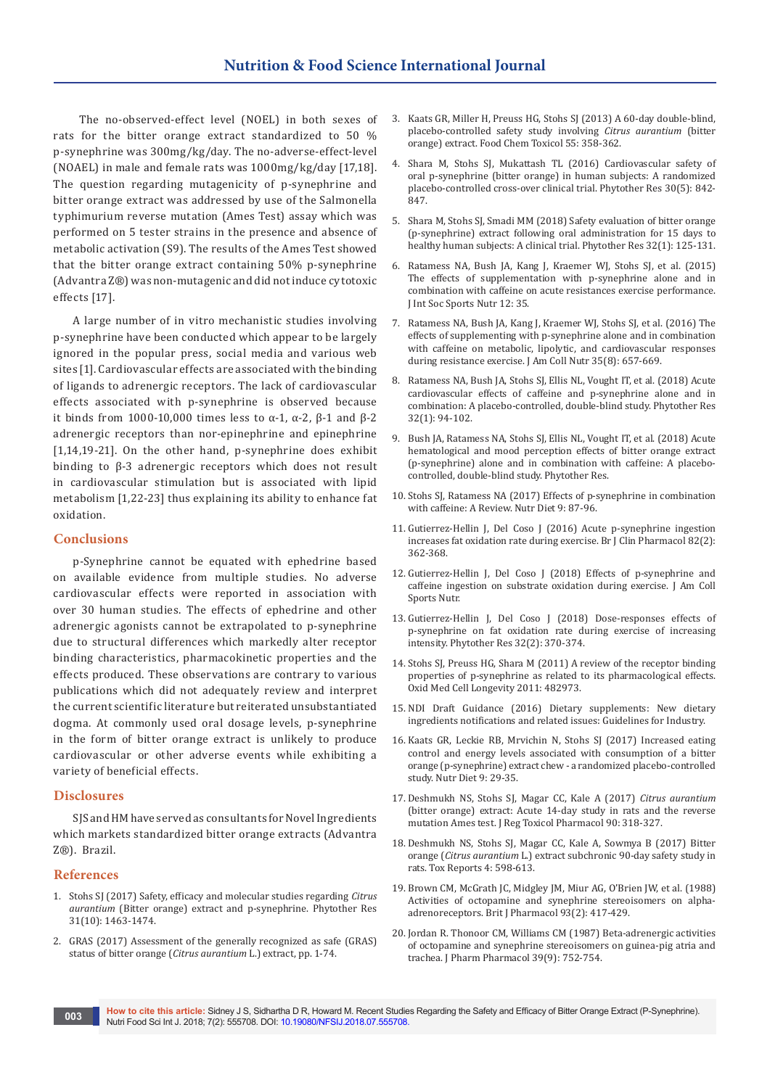The no-observed-effect level (NOEL) in both sexes of rats for the bitter orange extract standardized to 50 % p-synephrine was 300mg/kg/day. The no-adverse-effect-level (NOAEL) in male and female rats was 1000mg/kg/day [17,18]. The question regarding mutagenicity of p-synephrine and bitter orange extract was addressed by use of the Salmonella typhimurium reverse mutation (Ames Test) assay which was performed on 5 tester strains in the presence and absence of metabolic activation (S9). The results of the Ames Test showed that the bitter orange extract containing 50% p-synephrine (Advantra Z®) was non-mutagenic and did not induce cytotoxic effects [17].

A large number of in vitro mechanistic studies involving p-synephrine have been conducted which appear to be largely ignored in the popular press, social media and various web sites [1]. Cardiovascular effects are associated with the binding of ligands to adrenergic receptors. The lack of cardiovascular effects associated with p-synephrine is observed because it binds from 1000-10,000 times less to  $\alpha$ -1,  $\alpha$ -2,  $\beta$ -1 and  $\beta$ -2 adrenergic receptors than nor-epinephrine and epinephrine [1,14,19-21]. On the other hand, p-synephrine does exhibit binding to β-3 adrenergic receptors which does not result in cardiovascular stimulation but is associated with lipid metabolism [1,22-23] thus explaining its ability to enhance fat oxidation.

## **Conclusions**

p-Synephrine cannot be equated with ephedrine based on available evidence from multiple studies. No adverse cardiovascular effects were reported in association with over 30 human studies. The effects of ephedrine and other adrenergic agonists cannot be extrapolated to p-synephrine due to structural differences which markedly alter receptor binding characteristics, pharmacokinetic properties and the effects produced. These observations are contrary to various publications which did not adequately review and interpret the current scientific literature but reiterated unsubstantiated dogma. At commonly used oral dosage levels, p-synephrine in the form of bitter orange extract is unlikely to produce cardiovascular or other adverse events while exhibiting a variety of beneficial effects.

## **Disclosures**

SJS and HM have served as consultants for Novel Ingredients which markets standardized bitter orange extracts (Advantra Z®). Brazil.

#### **References**

- 1. [Stohs SJ \(2017\) Safety, efficacy and molecular studies regarding](https://www.ncbi.nlm.nih.gov/pubmed/28752649/) *Citrus aurantium* [\(Bitter orange\) extract and p-synephrine. Phytother Res](https://www.ncbi.nlm.nih.gov/pubmed/28752649/)  [31\(10\): 1463-1474.](https://www.ncbi.nlm.nih.gov/pubmed/28752649/)
- 2. GRAS (2017) Assessment of the generally recognized as safe (GRAS) status of bitter orange (*Citrus aurantium* L.) extract, pp. 1-74.
- 3. [Kaats GR, Miller H, Preuss HG, Stohs SJ \(2013\) A 60-day double-blind,](https://www.ncbi.nlm.nih.gov/pubmed/23354394)  [placebo-controlled safety study involving](https://www.ncbi.nlm.nih.gov/pubmed/23354394) *Citrus aurantium* (bitter [orange\) extract. Food Chem Toxicol 55: 358-362.](https://www.ncbi.nlm.nih.gov/pubmed/23354394)
- 4. [Shara M, Stohs SJ, Mukattash TL \(2016\) Cardiovascular safety of](https://www.ncbi.nlm.nih.gov/pubmed/26948284)  [oral p-synephrine \(bitter orange\) in human subjects: A randomized](https://www.ncbi.nlm.nih.gov/pubmed/26948284)  [placebo-controlled cross-over clinical trial. Phytother Res 30\(5\): 842-](https://www.ncbi.nlm.nih.gov/pubmed/26948284) [847.](https://www.ncbi.nlm.nih.gov/pubmed/26948284)
- 5. [Shara M, Stohs SJ, Smadi MM \(2018\) Safety evaluation of bitter orange](https://www.ncbi.nlm.nih.gov/pubmed/29130542)  [\(p-synephrine\) extract following oral administration for 15 days to](https://www.ncbi.nlm.nih.gov/pubmed/29130542)  [healthy human subjects: A clinical trial. Phytother Res 32\(1\): 125-131.](https://www.ncbi.nlm.nih.gov/pubmed/29130542)
- 6. [Ratamess NA, Bush JA, Kang J, Kraemer WJ, Stohs SJ, et al. \(2015\)](https://www.ncbi.nlm.nih.gov/pubmed/26388707/)  [The effects of supplementation with p-synephrine alone and in](https://www.ncbi.nlm.nih.gov/pubmed/26388707/)  [combination with caffeine on acute resistances exercise performance.](https://www.ncbi.nlm.nih.gov/pubmed/26388707/)  [J Int Soc Sports Nutr 12: 35.](https://www.ncbi.nlm.nih.gov/pubmed/26388707/)
- 7. [Ratamess NA, Bush JA, Kang J, Kraemer WJ, Stohs SJ, et al. \(2016\) The](https://www.ncbi.nlm.nih.gov/pubmed/27484437)  [effects of supplementing with p-synephrine alone and in combination](https://www.ncbi.nlm.nih.gov/pubmed/27484437)  [with caffeine on metabolic, lipolytic, and cardiovascular responses](https://www.ncbi.nlm.nih.gov/pubmed/27484437)  [during resistance exercise. J Am Coll Nutr 35\(8\): 657-669.](https://www.ncbi.nlm.nih.gov/pubmed/27484437)
- 8. [Ratamess NA, Bush JA, Stohs SJ, Ellis NL, Vought IT, et al. \(2018\) Acute](https://www.ncbi.nlm.nih.gov/pubmed/29047215)  [cardiovascular effects of caffeine and p-synephrine alone and in](https://www.ncbi.nlm.nih.gov/pubmed/29047215)  [combination: A placebo-controlled, double-blind study. Phytother Res](https://www.ncbi.nlm.nih.gov/pubmed/29047215)  [32\(1\): 94-102.](https://www.ncbi.nlm.nih.gov/pubmed/29047215)
- 9. [Bush JA, Ratamess NA, Stohs SJ, Ellis NL, Vought IT, et al. \(2018\) Acute](https://www.ncbi.nlm.nih.gov/pubmed/29672965)  [hematological and mood perception effects of bitter orange extract](https://www.ncbi.nlm.nih.gov/pubmed/29672965)  [\(p-synephrine\) alone and in combination with caffeine: A placebo](https://www.ncbi.nlm.nih.gov/pubmed/29672965)[controlled, double-blind study. Phytother Res.](https://www.ncbi.nlm.nih.gov/pubmed/29672965)
- 10. [Stohs SJ, Ratamess NA \(2017\) Effects of p-synephrine in combination](https://www.dovepress.com/effects-of-p-synephrine-in-combination-with-caffeine-a-review-peer-reviewed-article-NDS)  [with caffeine: A Review. Nutr Diet 9: 87-96.](https://www.dovepress.com/effects-of-p-synephrine-in-combination-with-caffeine-a-review-peer-reviewed-article-NDS)
- 11. [Gutierrez-Hellin J, Del Coso J \(2016\) Acute p-synephrine ingestion](https://www.ncbi.nlm.nih.gov/pubmed/27038225)  [increases fat oxidation rate during exercise. Br J Clin Pharmacol 82\(2\):](https://www.ncbi.nlm.nih.gov/pubmed/27038225)  [362-368.](https://www.ncbi.nlm.nih.gov/pubmed/27038225)
- 12. [Gutierrez-Hellin J, Del Coso J \(2018\) Effects of p-synephrine and](https://www.ncbi.nlm.nih.gov/pubmed/29727404)  [caffeine ingestion on substrate oxidation during exercise. J Am Coll](https://www.ncbi.nlm.nih.gov/pubmed/29727404)  [Sports Nutr.](https://www.ncbi.nlm.nih.gov/pubmed/29727404)
- 13. [Gutierrez-Hellin J, Del Coso J \(2018\) Dose-responses effects of](https://www.ncbi.nlm.nih.gov/pubmed/29024325)  [p-synephrine on fat oxidation rate during exercise of increasing](https://www.ncbi.nlm.nih.gov/pubmed/29024325)  [intensity. Phytother Res 32\(2\): 370-374.](https://www.ncbi.nlm.nih.gov/pubmed/29024325)
- 14. [Stohs SJ, Preuss HG, Shara M \(2011\) A review of the receptor binding](https://www.ncbi.nlm.nih.gov/pubmed/21904645)  [properties of p-synephrine as related to its pharmacological effects.](https://www.ncbi.nlm.nih.gov/pubmed/21904645)  [Oxid Med Cell Longevity 2011: 482973.](https://www.ncbi.nlm.nih.gov/pubmed/21904645)
- 15. NDI Draft Guidance (2016) Dietary supplements: New dietary ingredients notifications and related issues: Guidelines for Industry.
- 16. Kaats GR, Leckie RB, Mrvichin N, Stohs SJ (2017) Increased eating control and energy levels associated with consumption of a bitter orange (p-synephrine) extract chew - a randomized placebo-controlled study. Nutr Diet 9: 29-35.
- 17. [Deshmukh NS, Stohs SJ, Magar CC, Kale A \(2017\)](https://www.ncbi.nlm.nih.gov/pubmed/28966104) *Citrus aurantium* [\(bitter orange\) extract: Acute 14-day study in rats and the reverse](https://www.ncbi.nlm.nih.gov/pubmed/28966104)  [mutation Ames test. J Reg Toxicol Pharmacol 90: 318-327.](https://www.ncbi.nlm.nih.gov/pubmed/28966104)
- 18. [Deshmukh NS, Stohs SJ, Magar CC, Kale A, Sowmya B \(2017\) Bitter](https://www.ncbi.nlm.nih.gov/pubmed/29214145)  orange (*Citrus aurantium* [L.\) extract subchronic 90-day safety study in](https://www.ncbi.nlm.nih.gov/pubmed/29214145)  [rats. Tox Reports 4: 598-613.](https://www.ncbi.nlm.nih.gov/pubmed/29214145)
- 19. [Brown CM, McGrath JC, Midgley JM, Miur AG, O'Brien JW, et al. \(1988\)](https://www.ncbi.nlm.nih.gov/pubmed/2833972)  [Activities of octopamine and synephrine stereoisomers on alpha](https://www.ncbi.nlm.nih.gov/pubmed/2833972)[adrenoreceptors. Brit J Pharmacol 93\(2\): 417-429.](https://www.ncbi.nlm.nih.gov/pubmed/2833972)
- 20. [Jordan R. Thonoor CM, Williams CM \(1987\) Beta-adrenergic activities](https://www.ncbi.nlm.nih.gov/pubmed/2890747)  [of octopamine and synephrine stereoisomers on guinea-pig atria and](https://www.ncbi.nlm.nih.gov/pubmed/2890747)  [trachea. J Pharm Pharmacol 39\(9\): 752-754.](https://www.ncbi.nlm.nih.gov/pubmed/2890747)